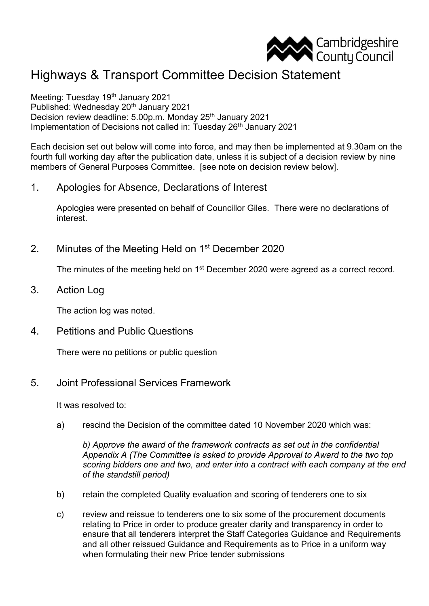

## Highways & Transport Committee Decision Statement

Meeting: Tuesday 19th January 2021 Published: Wednesday 20th January 2021 Decision review deadline: 5.00p.m. Monday 25th January 2021 Implementation of Decisions not called in: Tuesday 26<sup>th</sup> January 2021

Each decision set out below will come into force, and may then be implemented at 9.30am on the fourth full working day after the publication date, unless it is subject of a decision review by nine members of General Purposes Committee. [see note on decision review below].

1. Apologies for Absence, Declarations of Interest

Apologies were presented on behalf of Councillor Giles. There were no declarations of interest.

2. Minutes of the Meeting Held on 1<sup>st</sup> December 2020

The minutes of the meeting held on 1<sup>st</sup> December 2020 were agreed as a correct record.

3. Action Log

The action log was noted.

4. Petitions and Public Questions

There were no petitions or public question

5. Joint Professional Services Framework

It was resolved to:

a) rescind the Decision of the committee dated 10 November 2020 which was:

*b) Approve the award of the framework contracts as set out in the confidential Appendix A (The Committee is asked to provide Approval to Award to the two top scoring bidders one and two, and enter into a contract with each company at the end of the standstill period)*

- b) retain the completed Quality evaluation and scoring of tenderers one to six
- c) review and reissue to tenderers one to six some of the procurement documents relating to Price in order to produce greater clarity and transparency in order to ensure that all tenderers interpret the Staff Categories Guidance and Requirements and all other reissued Guidance and Requirements as to Price in a uniform way when formulating their new Price tender submissions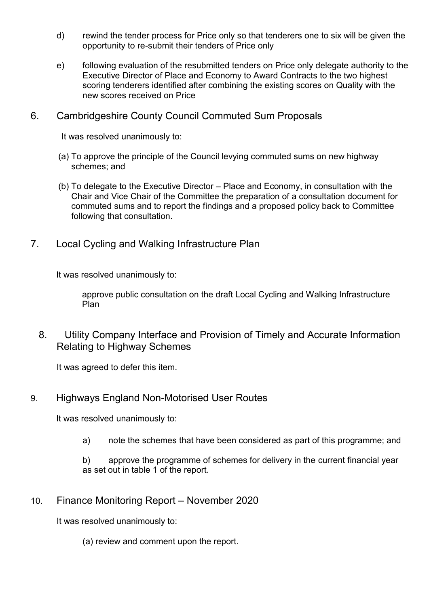- d) rewind the tender process for Price only so that tenderers one to six will be given the opportunity to re-submit their tenders of Price only
- e) following evaluation of the resubmitted tenders on Price only delegate authority to the Executive Director of Place and Economy to Award Contracts to the two highest scoring tenderers identified after combining the existing scores on Quality with the new scores received on Price

## 6. Cambridgeshire County Council Commuted Sum Proposals

It was resolved unanimously to:

- (a) To approve the principle of the Council levying commuted sums on new highway schemes; and
- (b) To delegate to the Executive Director Place and Economy, in consultation with the Chair and Vice Chair of the Committee the preparation of a consultation document for commuted sums and to report the findings and a proposed policy back to Committee following that consultation.
- 7. Local Cycling and Walking Infrastructure Plan

It was resolved unanimously to:

approve public consultation on the draft Local Cycling and Walking Infrastructure Plan

8. Utility Company Interface and Provision of Timely and Accurate Information Relating to Highway Schemes

It was agreed to defer this item.

## 9. Highways England Non-Motorised User Routes

It was resolved unanimously to:

a) note the schemes that have been considered as part of this programme; and

b) approve the programme of schemes for delivery in the current financial year as set out in table 1 of the report.

## 10. Finance Monitoring Report – November 2020

It was resolved unanimously to:

(a) review and comment upon the report.